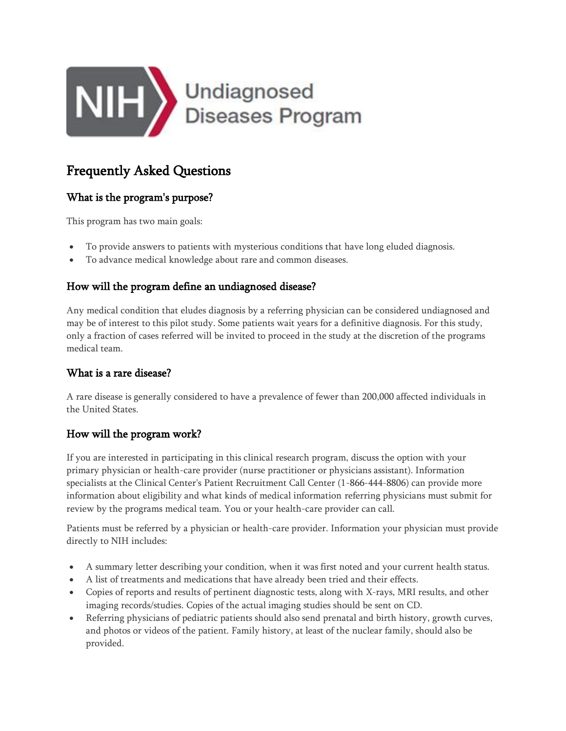

# Frequently Asked Questions

# What is the program's purpose?

This program has two main goals:

- To provide answers to patients with mysterious conditions that have long eluded diagnosis.
- To advance medical knowledge about rare and common diseases.

## How will the program define an undiagnosed disease?

Any medical condition that eludes diagnosis by a referring physician can be considered undiagnosed and may be of interest to this pilot study. Some patients wait years for a definitive diagnosis. For this study, only a fraction of cases referred will be invited to proceed in the study at the discretion of the programs medical team.

# What is a rare disease?

A rare disease is generally considered to have a prevalence of fewer than 200,000 affected individuals in the United States.

# How will the program work?

If you are interested in participating in this clinical research program, discuss the option with your primary physician or health-care provider (nurse practitioner or physicians assistant). Information specialists at the Clinical Center's Patient Recruitment Call Center (1-866-444-8806) can provide more information about eligibility and what kinds of medical information referring physicians must submit for review by the programs medical team. You or your health-care provider can call.

Patients must be referred by a physician or health-care provider. Information your physician must provide directly to NIH includes:

- A summary letter describing your condition, when it was first noted and your current health status.
- A list of treatments and medications that have already been tried and their effects.
- Copies of reports and results of pertinent diagnostic tests, along with X-rays, MRI results, and other imaging records/studies. Copies of the actual imaging studies should be sent on CD.
- Referring physicians of pediatric patients should also send prenatal and birth history, growth curves, and photos or videos of the patient. Family history, at least of the nuclear family, should also be provided.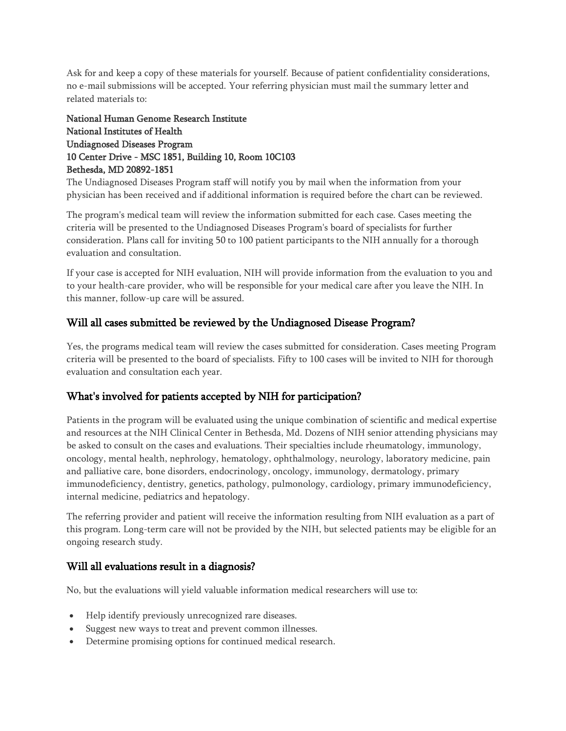Ask for and keep a copy of these materials for yourself. Because of patient confidentiality considerations, no e-mail submissions will be accepted. Your referring physician must mail the summary letter and related materials to:

National Human Genome Research Institute National Institutes of Health Undiagnosed Diseases Program 10 Center Drive - MSC 1851, Building 10, Room 10C103 Bethesda, MD 20892-1851

The Undiagnosed Diseases Program staff will notify you by mail when the information from your physician has been received and if additional information is required before the chart can be reviewed.

The program's medical team will review the information submitted for each case. Cases meeting the criteria will be presented to the Undiagnosed Diseases Program's board of specialists for further consideration. Plans call for inviting 50 to 100 patient participants to the NIH annually for a thorough evaluation and consultation.

If your case is accepted for NIH evaluation, NIH will provide information from the evaluation to you and to your health-care provider, who will be responsible for your medical care after you leave the NIH. In this manner, follow-up care will be assured.

## Will all cases submitted be reviewed by the Undiagnosed Disease Program?

Yes, the programs medical team will review the cases submitted for consideration. Cases meeting Program criteria will be presented to the board of specialists. Fifty to 100 cases will be invited to NIH for thorough evaluation and consultation each year.

# What's involved for patients accepted by NIH for participation?

Patients in the program will be evaluated using the unique combination of scientific and medical expertise and resources at the NIH Clinical Center in Bethesda, Md. Dozens of NIH senior attending physicians may be asked to consult on the cases and evaluations. Their specialties include rheumatology, immunology, oncology, mental health, nephrology, hematology, ophthalmology, neurology, laboratory medicine, pain and palliative care, bone disorders, endocrinology, oncology, immunology, dermatology, primary immunodeficiency, dentistry, genetics, pathology, pulmonology, cardiology, primary immunodeficiency, internal medicine, pediatrics and hepatology.

The referring provider and patient will receive the information resulting from NIH evaluation as a part of this program. Long-term care will not be provided by the NIH, but selected patients may be eligible for an ongoing research study.

#### Will all evaluations result in a diagnosis?

No, but the evaluations will yield valuable information medical researchers will use to:

- Help identify previously unrecognized rare diseases.
- Suggest new ways to treat and prevent common illnesses.
- Determine promising options for continued medical research.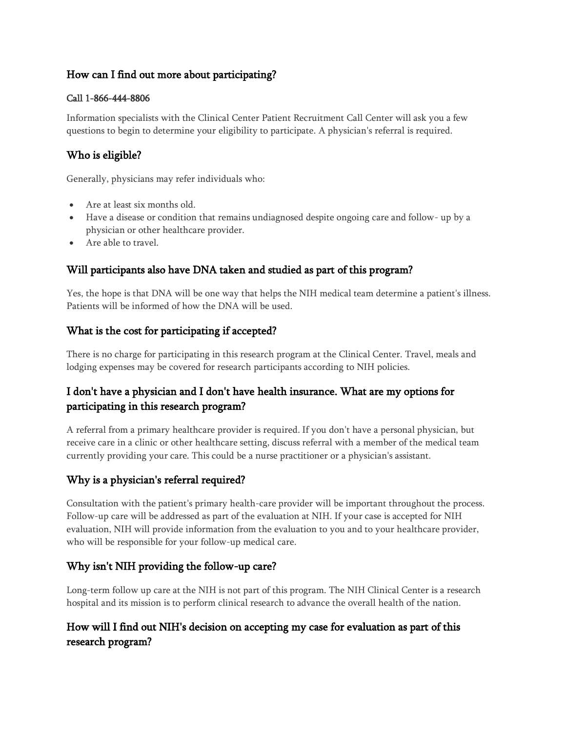# How can I find out more about participating?

#### Call 1-866-444-8806

Information specialists with the Clinical Center Patient Recruitment Call Center will ask you a few questions to begin to determine your eligibility to participate. A physician's referral is required.

# Who is eligible?

Generally, physicians may refer individuals who:

- Are at least six months old.
- Have a disease or condition that remains undiagnosed despite ongoing care and follow- up by a physician or other healthcare provider.
- Are able to travel.

## Will participants also have DNA taken and studied as part of this program?

Yes, the hope is that DNA will be one way that helps the NIH medical team determine a patient's illness. Patients will be informed of how the DNA will be used.

## What is the cost for participating if accepted?

There is no charge for participating in this research program at the Clinical Center. Travel, meals and lodging expenses may be covered for research participants according to NIH policies.

# I don't have a physician and I don't have health insurance. What are my options for participating in this research program?

A referral from a primary healthcare provider is required. If you don't have a personal physician, but receive care in a clinic or other healthcare setting, discuss referral with a member of the medical team currently providing your care. This could be a nurse practitioner or a physician's assistant.

#### Why is a physician's referral required?

Consultation with the patient's primary health-care provider will be important throughout the process. Follow-up care will be addressed as part of the evaluation at NIH. If your case is accepted for NIH evaluation, NIH will provide information from the evaluation to you and to your healthcare provider, who will be responsible for your follow-up medical care.

# Why isn't NIH providing the follow-up care?

Long-term follow up care at the NIH is not part of this program. The NIH Clinical Center is a research hospital and its mission is to perform clinical research to advance the overall health of the nation.

# How will I find out NIH's decision on accepting my case for evaluation as part of this research program?